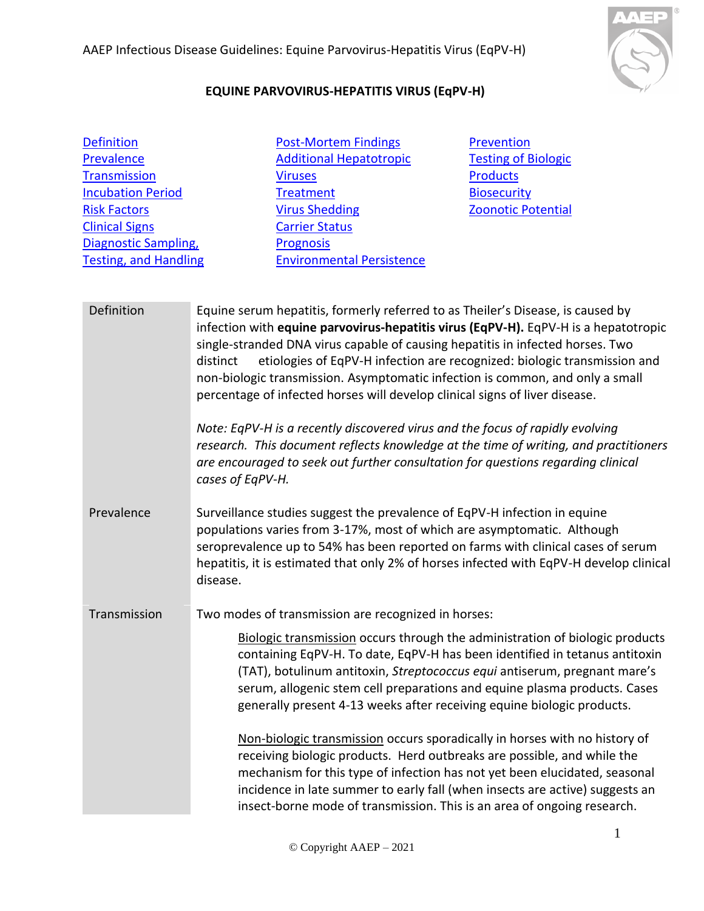

## **EQUINE PARVOVIRUS-HEPATITIS VIRUS (EqPV-H)**

| <b>Definition</b>            |
|------------------------------|
| Prevalence                   |
| <b>Transmission</b>          |
| <b>Incubation Period</b>     |
| <b>Risk Factors</b>          |
| <b>Clinical Signs</b>        |
| Diagnostic Sampling,         |
| <b>Testing, and Handling</b> |

[Post-Mortem Findings](#page-2-1) [Additional Hepatotropic](#page-3-0)  [Viruses](#page-3-0) **[Treatment](#page-3-1)** [Virus Shedding](#page-3-2) [Carrier Status](#page-3-3) **[Prognosis](#page-3-4)** [Environmental Persistence](#page-3-5)

**[Prevention](#page-4-0)** Testing [of Biologic](#page-4-1)  **[Products](#page-4-1) [Biosecurity](#page-4-2)** [Zoonotic Potential](#page-4-3)

<span id="page-0-1"></span><span id="page-0-0"></span>Definition Equine serum hepatitis, formerly referred to as Theiler's Disease, is caused by infection with **equine parvovirus-hepatitis virus (EqPV-H).** EqPV-H is a hepatotropic single-stranded DNA virus capable of causing hepatitis in infected horses. Two distinct etiologies of EqPV-H infection are recognized: biologic transmission and non-biologic transmission. Asymptomatic infection is common, and only a small percentage of infected horses will develop clinical signs of liver disease. *Note: EqPV-H is a recently discovered virus and the focus of rapidly evolving research. This document reflects knowledge at the time of writing, and practitioners are encouraged to seek out further consultation for questions regarding clinical cases of EqPV-H.*  Prevalence Surveillance studies suggest the prevalence of EqPV-H infection in equine populations varies from 3-17%, most of which are asymptomatic. Although seroprevalence up to 54% has been reported on farms with clinical cases of serum hepatitis, it is estimated that only 2% of horses infected with EqPV-H develop clinical disease. Transmission Two modes of transmission are recognized in horses: Biologic transmission occurs through the administration of biologic products containing EqPV-H. To date, EqPV-H has been identified in tetanus antitoxin (TAT), botulinum antitoxin, *Streptococcus equi* antiserum, pregnant mare's serum, allogenic stem cell preparations and equine plasma products. Cases generally present 4-13 weeks after receiving equine biologic products. Non-biologic transmission occurs sporadically in horses with no history of receiving biologic products. Herd outbreaks are possible, and while the mechanism for this type of infection has not yet been elucidated, seasonal incidence in late summer to early fall (when insects are active) suggests an

<span id="page-0-2"></span>insect-borne mode of transmission. This is an area of ongoing research.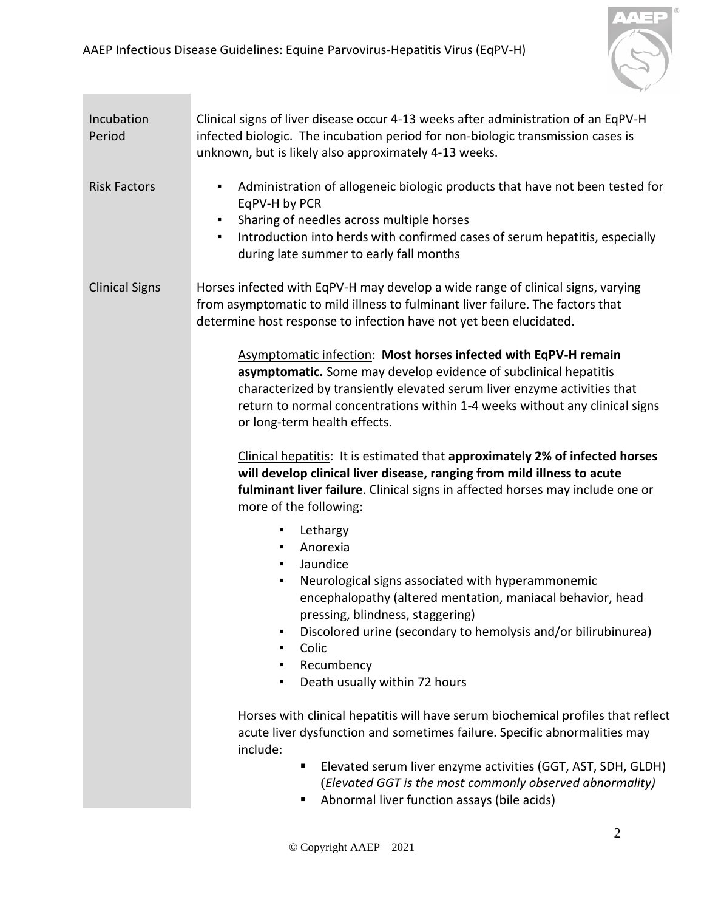

<span id="page-1-2"></span><span id="page-1-1"></span><span id="page-1-0"></span>

| Incubation<br>Period  | Clinical signs of liver disease occur 4-13 weeks after administration of an EqPV-H<br>infected biologic. The incubation period for non-biologic transmission cases is<br>unknown, but is likely also approximately 4-13 weeks.                                                                                                                                                                                                                                                                                                                                             |
|-----------------------|----------------------------------------------------------------------------------------------------------------------------------------------------------------------------------------------------------------------------------------------------------------------------------------------------------------------------------------------------------------------------------------------------------------------------------------------------------------------------------------------------------------------------------------------------------------------------|
| <b>Risk Factors</b>   | Administration of allogeneic biologic products that have not been tested for<br>٠<br>EqPV-H by PCR<br>Sharing of needles across multiple horses<br>٠<br>Introduction into herds with confirmed cases of serum hepatitis, especially<br>$\blacksquare$<br>during late summer to early fall months                                                                                                                                                                                                                                                                           |
| <b>Clinical Signs</b> | Horses infected with EqPV-H may develop a wide range of clinical signs, varying<br>from asymptomatic to mild illness to fulminant liver failure. The factors that<br>determine host response to infection have not yet been elucidated.                                                                                                                                                                                                                                                                                                                                    |
|                       | Asymptomatic infection: Most horses infected with EqPV-H remain<br>asymptomatic. Some may develop evidence of subclinical hepatitis<br>characterized by transiently elevated serum liver enzyme activities that<br>return to normal concentrations within 1-4 weeks without any clinical signs<br>or long-term health effects.<br>Clinical hepatitis: It is estimated that approximately 2% of infected horses<br>will develop clinical liver disease, ranging from mild illness to acute<br>fulminant liver failure. Clinical signs in affected horses may include one or |
|                       | more of the following:<br>Lethargy<br>٠<br>Anorexia<br>٠<br>Jaundice<br>Neurological signs associated with hyperammonemic<br>٠<br>encephalopathy (altered mentation, maniacal behavior, head<br>pressing, blindness, staggering)<br>Discolored urine (secondary to hemolysis and/or bilirubinurea)<br>٠<br>Colic<br>٠<br>Recumbency<br>٠<br>Death usually within 72 hours<br>٠                                                                                                                                                                                             |
|                       | Horses with clinical hepatitis will have serum biochemical profiles that reflect<br>acute liver dysfunction and sometimes failure. Specific abnormalities may<br>include:<br>Elevated serum liver enzyme activities (GGT, AST, SDH, GLDH)<br>п<br>(Elevated GGT is the most commonly observed abnormality)<br>Abnormal liver function assays (bile acids)                                                                                                                                                                                                                  |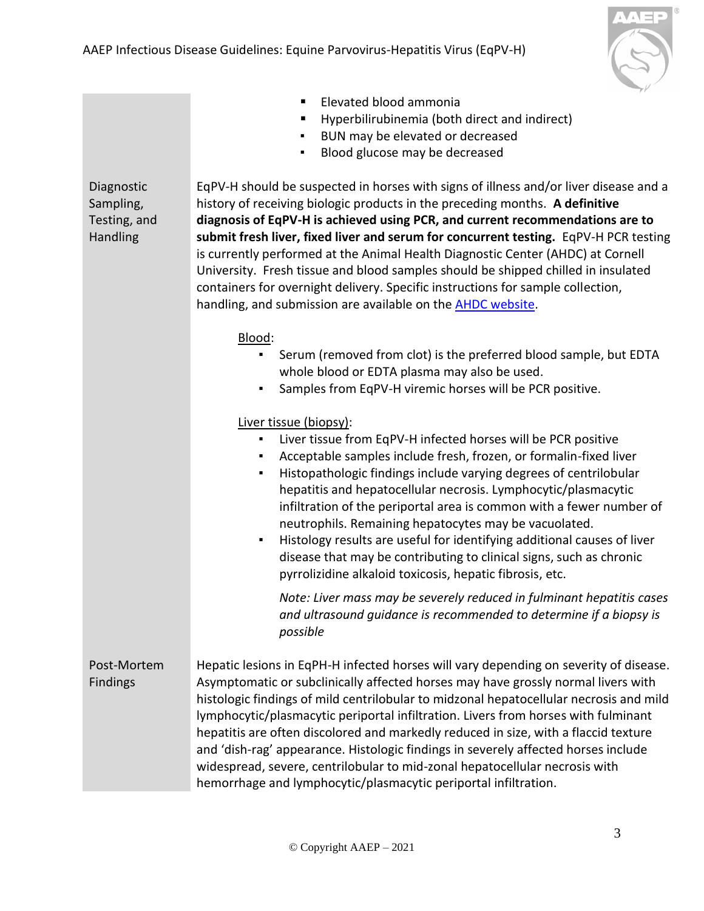

- Elevated blood ammonia
- Hyperbilirubinemia (both direct and indirect)
- BUN may be elevated or decreased
- Blood glucose may be decreased

<span id="page-2-0"></span>Diagnostic Sampling, Testing, and Handling EqPV-H should be suspected in horses with signs of illness and/or liver disease and a history of receiving biologic products in the preceding months. **A definitive diagnosis of EqPV-H is achieved using PCR, and current recommendations are to submit fresh liver, fixed liver and serum for concurrent testing.** EqPV-H PCR testing is currently performed at the Animal Health Diagnostic Center (AHDC) at Cornell University. Fresh tissue and blood samples should be shipped chilled in insulated containers for overnight delivery. Specific instructions for sample collection, handling, and submission are available on the [AHDC website.](https://www.vet.cornell.edu/animal-health-diagnostic-center/testing)

## Blood:

- Serum (removed from clot) is the preferred blood sample, but EDTA whole blood or EDTA plasma may also be used.
- Samples from EqPV-H viremic horses will be PCR positive.

## Liver tissue (biopsy):

- Liver tissue from EqPV-H infected horses will be PCR positive
- Acceptable samples include fresh, frozen, or formalin-fixed liver
- Histopathologic findings include varying degrees of centrilobular hepatitis and hepatocellular necrosis. Lymphocytic/plasmacytic infiltration of the periportal area is common with a fewer number of neutrophils. Remaining hepatocytes may be vacuolated.
- Histology results are useful for identifying additional causes of liver disease that may be contributing to clinical signs, such as chronic pyrrolizidine alkaloid toxicosis, hepatic fibrosis, etc.

*Note: Liver mass may be severely reduced in fulminant hepatitis cases and ultrasound guidance is recommended to determine if a biopsy is possible*

<span id="page-2-1"></span>Post-Mortem Findings Hepatic lesions in EqPH-H infected horses will vary depending on severity of disease. Asymptomatic or subclinically affected horses may have grossly normal livers with histologic findings of mild centrilobular to midzonal hepatocellular necrosis and mild lymphocytic/plasmacytic periportal infiltration. Livers from horses with fulminant hepatitis are often discolored and markedly reduced in size, with a flaccid texture and 'dish-rag' appearance. Histologic findings in severely affected horses include widespread, severe, centrilobular to mid-zonal hepatocellular necrosis with hemorrhage and lymphocytic/plasmacytic periportal infiltration.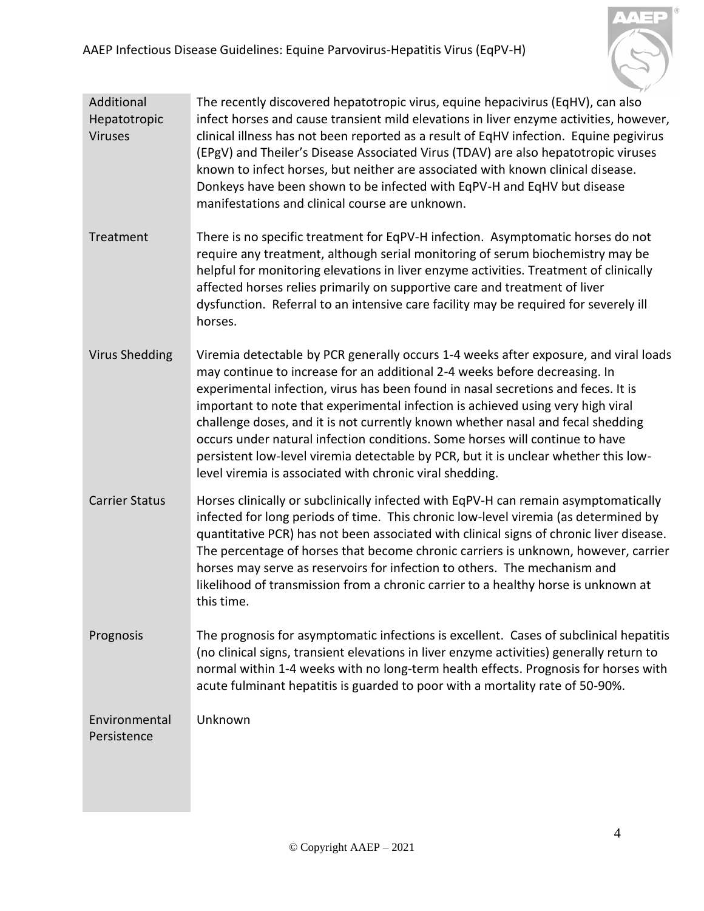

- <span id="page-3-0"></span>Additional Hepatotropic Viruses The recently discovered hepatotropic virus, equine hepacivirus (EqHV), can also infect horses and cause transient mild elevations in liver enzyme activities, however, clinical illness has not been reported as a result of EqHV infection. Equine pegivirus (EPgV) and Theiler's Disease Associated Virus (TDAV) are also hepatotropic viruses known to infect horses, but neither are associated with known clinical disease. Donkeys have been shown to be infected with EqPV-H and EqHV but disease manifestations and clinical course are unknown.
- <span id="page-3-1"></span>Treatment There is no specific treatment for EqPV-H infection. Asymptomatic horses do not require any treatment, although serial monitoring of serum biochemistry may be helpful for monitoring elevations in liver enzyme activities. Treatment of clinically affected horses relies primarily on supportive care and treatment of liver dysfunction. Referral to an intensive care facility may be required for severely ill horses.
- <span id="page-3-2"></span>Virus Shedding Viremia detectable by PCR generally occurs 1-4 weeks after exposure, and viral loads may continue to increase for an additional 2-4 weeks before decreasing. In experimental infection, virus has been found in nasal secretions and feces. It is important to note that experimental infection is achieved using very high viral challenge doses, and it is not currently known whether nasal and fecal shedding occurs under natural infection conditions. Some horses will continue to have persistent low-level viremia detectable by PCR, but it is unclear whether this lowlevel viremia is associated with chronic viral shedding.
- <span id="page-3-3"></span>Carrier Status Horses clinically or subclinically infected with EqPV-H can remain asymptomatically infected for long periods of time. This chronic low-level viremia (as determined by quantitative PCR) has not been associated with clinical signs of chronic liver disease. The percentage of horses that become chronic carriers is unknown, however, carrier horses may serve as reservoirs for infection to others. The mechanism and likelihood of transmission from a chronic carrier to a healthy horse is unknown at this time.
- <span id="page-3-4"></span>Prognosis The prognosis for asymptomatic infections is excellent. Cases of subclinical hepatitis (no clinical signs, transient elevations in liver enzyme activities) generally return to normal within 1-4 weeks with no long-term health effects. Prognosis for horses with acute fulminant hepatitis is guarded to poor with a mortality rate of 50-90%.

<span id="page-3-5"></span>Environmental Persistence Unknown